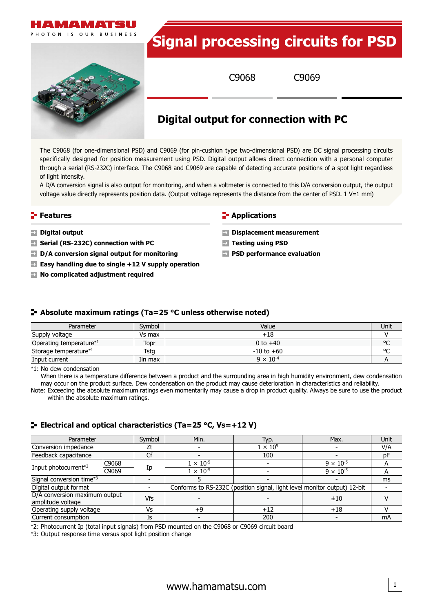

The C9068 (for one-dimensional PSD) and C9069 (for pin-cushion type two-dimensional PSD) are DC signal processing circuits specifically designed for position measurement using PSD. Digital output allows direct connection with a personal computer through a serial (RS-232C) interface. The C9068 and C9069 are capable of detecting accurate positions of a spot light regardless of light intensity.

A D/A conversion signal is also output for monitoring, and when a voltmeter is connected to this D/A conversion output, the output voltage value directly represents position data. (Output voltage represents the distance from the center of PSD.  $1 V=1 mm$ )

#### **Features**

- **Digital output**
- **Serial (RS-232C) connection with PC**
- **D/A conversion signal output for monitoring**
- **Easy handling due to single +12 V supply operation**
- **No complicated adjustment required**

#### **E** Applications

- **Displacement measurement**
- **Testing using PSD**
- **PSD performance evaluation**

#### **Absolute maximum ratings (Ta=25 °C unless otherwise noted)**

| Parameter               | Symbol  | Value              | Unit   |
|-------------------------|---------|--------------------|--------|
| Supply voltage          | Vs max  | +18                |        |
| Operating temperature*1 | Topr    | 0 to $+40$         | $\sim$ |
| Storage temperature*1   | Tsta    | $-10$ to $+60$     | $\sim$ |
| Input current           | Iin max | $9 \times 10^{-4}$ |        |

\*1: No dew condensation

When there is a temperature difference between a product and the surrounding area in high humidity environment, dew condensation may occur on the product surface. Dew condensation on the product may cause deterioration in characteristics and reliability.

Note: Exceeding the absolute maximum ratings even momentarily may cause a drop in product quality. Always be sure to use the product within the absolute maximum ratings.

## **Electrical and optical characteristics (Ta=25 °C, Vs=+12 V)**

| Parameter                                          |       | Symbol | Min.                                                                     | Typ.            | Max.               | Unit |
|----------------------------------------------------|-------|--------|--------------------------------------------------------------------------|-----------------|--------------------|------|
| Conversion impedance                               |       | Ζt     |                                                                          | $1 \times 10^5$ |                    | V/A  |
| Feedback capacitance                               |       |        |                                                                          | 100             |                    | pF   |
| Input photocurrent <sup>*2</sup>                   | C9068 | Ip     | $1 \times 10^{-5}$                                                       |                 | $9 \times 10^{-5}$ | А    |
|                                                    | C9069 |        | $1 \times 10^{-5}$                                                       |                 | $9 \times 10^{-5}$ |      |
| Signal conversion time*3                           |       |        |                                                                          |                 |                    | ms   |
| Digital output format                              |       |        | Conforms to RS-232C (position signal, light level monitor output) 12-bit |                 |                    |      |
| D/A conversion maximum output<br>amplitude voltage |       | Vfs    |                                                                          |                 | ±10                |      |
| Operating supply voltage                           |       | Vs     | +9                                                                       | $+12$           | $+18$              |      |
| Current consumption                                |       | Is     |                                                                          | 200             |                    | mA   |

\*2: Photocurrent Ip (total input signals) from PSD mounted on the C9068 or C9069 circuit board

\*3: Output response time versus spot light position change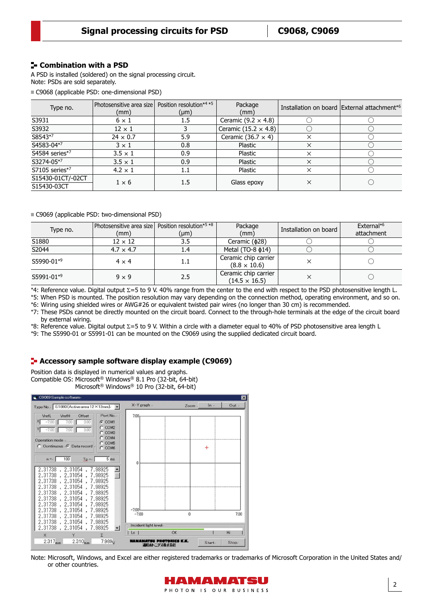## **Combination with a PSD**

A PSD is installed (soldered) on the signal processing circuit. Note: PSDs are sold separately.

C9068 (applicable PSD: one-dimensional PSD)

| Type no.                         | Photosensitive area size<br>(mm) | Position resolution*4 *5<br>$(\mu m)$ | Package<br>(mm)             |          | Installation on board External attachment*6 |
|----------------------------------|----------------------------------|---------------------------------------|-----------------------------|----------|---------------------------------------------|
| S3931                            | $6 \times 1$                     | 1.5                                   | Ceramic $(9.2 \times 4.8)$  |          |                                             |
| S3932                            | $12 \times 1$                    |                                       | Ceramic (15.2 $\times$ 4.8) |          |                                             |
| S8543*7                          | $24 \times 0.7$                  | 5.9                                   | Ceramic $(36.7 \times 4)$   | ×        |                                             |
| S4583-04*7                       | $3 \times 1$                     | 0.8                                   | Plastic                     | $\times$ |                                             |
| S4584 series*7                   | $3.5 \times 1$                   | 0.9                                   | Plastic                     | ×        |                                             |
| S3274-05*7                       | $3.5 \times 1$                   | 0.9                                   | Plastic                     | ×        |                                             |
| S7105 series*7                   | $4.2 \times 1$                   | 1.1                                   | Plastic                     | ×        |                                             |
| S15430-01CT/-02CT<br>S15430-03CT | $1 \times 6$                     | 1.5                                   | Glass epoxy                 | ×        |                                             |

C9069 (applicable PSD: two-dimensional PSD)

| Type no.   | Photosensitive area size   Position resolution*5 *8<br>(mm) | $(\mu m)$ | Package<br>(mm)                              | Installation on board | External* <sup>6</sup><br>attachment |
|------------|-------------------------------------------------------------|-----------|----------------------------------------------|-----------------------|--------------------------------------|
| S1880      | $12 \times 12$                                              | 3.5       | Ceramic (\$28)                               |                       |                                      |
| S2044      | $4.7 \times 4.7$                                            | 1.4       | Metal (TO-8 $\phi$ 14)                       |                       |                                      |
| S5990-01*9 | $4 \times 4$                                                |           | Ceramic chip carrier<br>$(8.8 \times 10.6)$  |                       |                                      |
| S5991-01*9 | $9 \times 9$                                                | 2.5       | Ceramic chip carrier<br>$(14.5 \times 16.5)$ |                       |                                      |

\*4: Reference value. Digital output Σ=5 to 9 V. 40% range from the center to the end with respect to the PSD photosensitive length L.

\*5: When PSD is mounted. The position resolution may vary depending on the connection method, operating environment, and so on.

\*6: Wiring using shielded wires or AWG#26 or equivalent twisted pair wires (no longer than 30 cm) is recommended.

\*7: These PSDs cannot be directly mounted on the circuit board. Connect to the through-hole terminals at the edge of the circuit board by external wiring.

\*8: Reference value. Digital output Σ=5 to 9 V. Within a circle with a diameter equal to 40% of PSD photosensitive area length L

\*9: The S5990-01 or S5991-01 can be mounted on the C9069 using the supplied dedicated circuit board.

## **F** Accessory sample software display example (C9069)

Position data is displayed in numerical values and graphs. Compatible OS: Microsoft® Windows® 8.1 Pro (32-bit, 64-bit) Microsoft® Windows® 10 Pro (32-bit, 64-bit)



Note: Microsoft, Windows, and Excel are either registered trademarks or trademarks of Microsoft Corporation in the United States and/ or other countries.

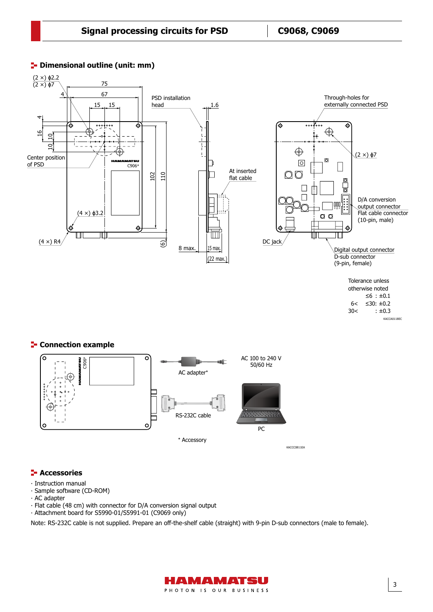

## **<sup>1</sup>** Dimensional outline (unit: mm)

Dimensional outline (C9068, C9069, unit: mm)

# **E-** Connection example



### **<del>F</del>** Accessories

- ∙ Instruction manual
- ∙ Sample software (CD-ROM)
- ∙ AC adapter
- ∙ Flat cable (48 cm) with connector for D/A conversion signal output
- ∙ Attachment board for S5990-01/S5991-01 (C9069 only)

Note: RS-232C cable is not supplied. Prepare an off-the-shelf cable (straight) with 9-pin D-sub connectors (male to female).